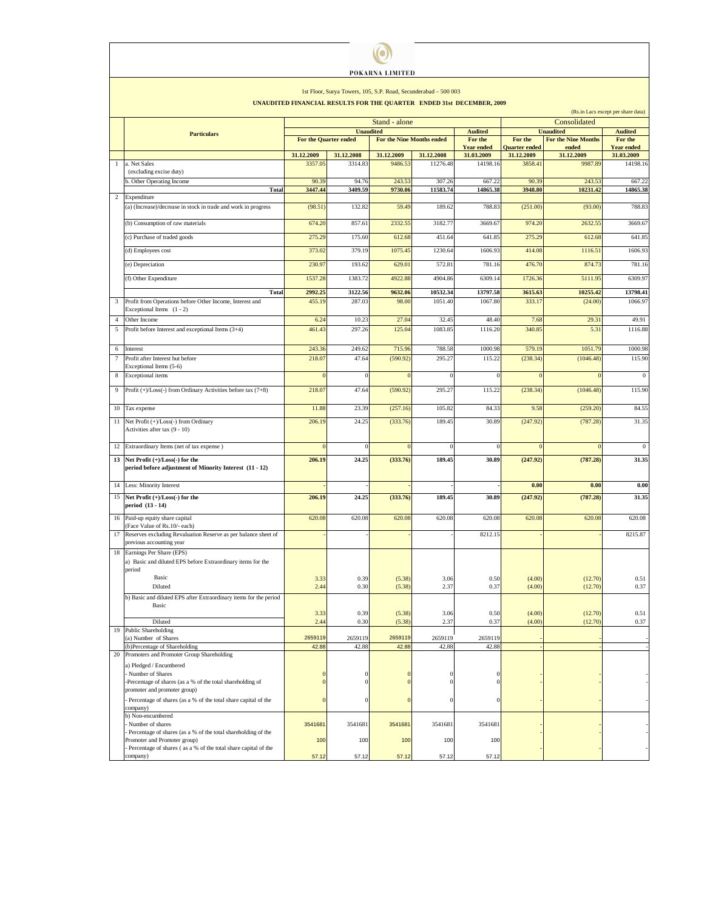| POKARNA LIMITED                                                                                                                                 |                                                                                                |                                                                     |                  |                  |                           |                              |                                    |                                     |                              |  |
|-------------------------------------------------------------------------------------------------------------------------------------------------|------------------------------------------------------------------------------------------------|---------------------------------------------------------------------|------------------|------------------|---------------------------|------------------------------|------------------------------------|-------------------------------------|------------------------------|--|
| 1st Floor, Surya Towers, 105, S.P. Road, Secunderabad - 500 003<br><b>UNAUDITED FINANCIAL RESULTS FOR THE QUARTER ENDED 31st DECEMBER, 2009</b> |                                                                                                |                                                                     |                  |                  |                           |                              |                                    |                                     |                              |  |
|                                                                                                                                                 |                                                                                                | (Rs.in Lacs except per share data)<br>Consolidated<br>Stand - alone |                  |                  |                           |                              |                                    |                                     |                              |  |
|                                                                                                                                                 | <b>Particulars</b>                                                                             | <b>Unaudited</b><br><b>Audited</b>                                  |                  |                  |                           |                              | <b>Unaudited</b><br><b>Audited</b> |                                     |                              |  |
|                                                                                                                                                 |                                                                                                | For the Quarter ended                                               |                  |                  | For the Nine Months ended | For the<br><b>Year ended</b> | For the<br><b>Quarter ended</b>    | <b>For the Nine Months</b><br>ended | For the<br><b>Year ended</b> |  |
|                                                                                                                                                 |                                                                                                | 31.12.2009                                                          | 31.12.2008       | 31.12.2009       | 31.12.2008                | 31.03.2009                   | 31.12.2009                         | 31.12.2009                          | 31.03.2009                   |  |
|                                                                                                                                                 | a. Net Sales<br>(excluding excise duty)                                                        | 3357.0                                                              | 3314.8           | 9486.53          | 11276.48                  | 14198.16                     | 3858.41                            | 9987.89                             | 14198.16                     |  |
|                                                                                                                                                 | . Other Operating Income                                                                       | 90.39                                                               | 94.76            | 243.53           | 307.26                    | 667.22                       | 90.39                              | 243.53                              | 667.22                       |  |
| $\overline{c}$                                                                                                                                  | <b>Total</b><br>Expenditure                                                                    | 3447.44                                                             | 3409.59          | 9730.06          | 11583.74                  | 14865.38                     | 3948.80                            | 10231.42                            | 14865.38                     |  |
|                                                                                                                                                 | (a) (Increase)/decrease in stock in trade and work in progress                                 | (98.51)                                                             | 132.82           | 59.49            | 189.62                    | 788.83                       | (251.00)                           | (93.00)                             | 788.83                       |  |
|                                                                                                                                                 |                                                                                                |                                                                     |                  | 2332.55          |                           |                              | 974.20                             |                                     |                              |  |
|                                                                                                                                                 | (b) Consumption of raw materials                                                               | 674.20                                                              | 857.61           |                  | 3182.77                   | 3669.67                      |                                    | 2632.55                             | 3669.67                      |  |
|                                                                                                                                                 | (c) Purchase of traded goods                                                                   | 275.29                                                              | 175.60           | 612.68           | 451.64                    | 641.85                       | 275.29                             | 612.68                              | 641.85                       |  |
|                                                                                                                                                 | (d) Employees cost                                                                             | 373.02                                                              | 379.19           | 1075.45          | 1230.64                   | 1606.93                      | 414.08                             | 1116.51                             | 1606.93                      |  |
|                                                                                                                                                 | (e) Depreciation                                                                               | 230.97                                                              | 193.62           | 629.01           | 572.81                    | 781.16                       | 476.70                             | 874.73                              | 781.16                       |  |
|                                                                                                                                                 | (f) Other Expenditure                                                                          | 1537.28                                                             | 1383.72          | 4922.88          | 4904.86                   | 6309.14                      | 1726.36                            | 5111.95                             | 6309.97                      |  |
|                                                                                                                                                 | Total                                                                                          | 2992.25                                                             | 3122.56          | 9632.06          | 10532.34                  | 13797.58                     | 3615.63                            | 10255.42                            | 13798.41                     |  |
| 3                                                                                                                                               | Profit from Operations before Other Income, Interest and                                       | 455.19                                                              | 287.03           | 98.00            | 1051.40                   | 1067.80                      | 333.17                             | (24.00)                             | 1066.97                      |  |
|                                                                                                                                                 | Exceptional Items (1 - 2)                                                                      |                                                                     |                  |                  |                           |                              |                                    |                                     |                              |  |
| $\overline{4}$<br>5                                                                                                                             | Other Income<br>Profit before Interest and exceptional Items (3+4)                             | 6.24<br>461.43                                                      | 10.23<br>297.26  | 27.04<br>125.04  | 32.45<br>1083.85          | 48.40<br>1116.20             | 7.68<br>340.85                     | 29.31<br>5.31                       | 49.91<br>1116.88             |  |
|                                                                                                                                                 |                                                                                                |                                                                     |                  |                  |                           |                              |                                    |                                     |                              |  |
| 6                                                                                                                                               | Interest                                                                                       | 243.3                                                               | 249.62           | 715.96           | 788.58                    | 1000.98                      | 579.19                             | 1051.79                             | 1000.98                      |  |
| $\tau$                                                                                                                                          | Profit after Interest but before<br>Exceptional Items (5-6)                                    | 218.07                                                              | 47.64            | (590.92)         | 295.27                    | 115.22                       | (238.34)                           | (1046.48)                           | 115.90                       |  |
| 8                                                                                                                                               | Exceptional items                                                                              | $\Omega$                                                            |                  | $\Omega$         | $\bf{0}$                  | $\bf{0}$                     |                                    |                                     | $\boldsymbol{0}$             |  |
| 9                                                                                                                                               | Profit (+)/Loss(-) from Ordinary Activities before tax (7+8)                                   | 218.0                                                               | 47.64            | (590.92)         | 295.27                    | 115.22                       | (238.34)                           | (1046.48)                           | 115.90                       |  |
|                                                                                                                                                 |                                                                                                |                                                                     |                  |                  |                           |                              |                                    |                                     |                              |  |
|                                                                                                                                                 | 10 Tax expense                                                                                 | 11.88                                                               | 23.39            | (257.16)         | 105.82                    | 84.33                        | 9.58                               | (259.20)                            | 84.55                        |  |
| 11                                                                                                                                              | Net Profit (+)/Loss(-) from Ordinary                                                           | 206.19                                                              | 24.25            | (333.76)         | 189.45                    | 30.89                        | (247.92)                           | (787.28)                            | 31.35                        |  |
|                                                                                                                                                 | Activities after tax (9 - 10)                                                                  |                                                                     |                  |                  |                           |                              |                                    |                                     |                              |  |
|                                                                                                                                                 | 12 Extraordinary Items (net of tax expense)                                                    |                                                                     |                  | $\Omega$         |                           | $\Omega$                     |                                    |                                     | $\boldsymbol{0}$             |  |
| 13                                                                                                                                              | Net Profit (+)/Loss(-) for the                                                                 | 206.19                                                              | 24.25            | (333.76)         | 189.45                    | 30.89                        | (247.92)                           | (787.28)                            | 31.35                        |  |
|                                                                                                                                                 | period before adjustment of Minority Interest (11 - 12)                                        |                                                                     |                  |                  |                           |                              |                                    |                                     |                              |  |
|                                                                                                                                                 | 14 Less: Minority Interest                                                                     |                                                                     |                  |                  |                           |                              | 0.00                               | 0.00                                | 0.00                         |  |
| 15                                                                                                                                              | Net Profit (+)/Loss(-) for the                                                                 | 206.19                                                              | 24.25            | (333.76)         | 189.45                    | 30.89                        | (247.92)                           | (787.28)                            | 31.35                        |  |
|                                                                                                                                                 | period (13 - 14)                                                                               |                                                                     |                  |                  |                           |                              |                                    |                                     |                              |  |
|                                                                                                                                                 | 16 Paid-up equity share capital                                                                | 620.08                                                              | 620.08           | 620.08           | 620.08                    | 620.08                       | 620.08                             | 620.08                              | 620.08                       |  |
| 17                                                                                                                                              | (Face Value of Rs.10/- each)<br>Reserves excluding Revaluation Reserve as per balance sheet of |                                                                     |                  |                  |                           | 8212.15                      |                                    |                                     | 8215.87                      |  |
|                                                                                                                                                 | previous accounting year                                                                       |                                                                     |                  |                  |                           |                              |                                    |                                     |                              |  |
| 18                                                                                                                                              | Earnings Per Share (EPS)<br>a) Basic and diluted EPS before Extraordinary items for the        |                                                                     |                  |                  |                           |                              |                                    |                                     |                              |  |
|                                                                                                                                                 | period                                                                                         |                                                                     |                  |                  |                           |                              |                                    |                                     |                              |  |
|                                                                                                                                                 | Basic                                                                                          | 3.33                                                                | 0.39             | (5.38)           | 3.06                      | 0.50                         | (4.00)                             | (12.70)                             | 0.51                         |  |
|                                                                                                                                                 | Diluted<br>b) Basic and diluted EPS after Extraordinary items for the period                   | 2.44                                                                | 0.30             | (5.38)           | 2.37                      | 0.37                         | (4.00)                             | (12.70)                             | 0.37                         |  |
|                                                                                                                                                 | Basic                                                                                          |                                                                     |                  |                  |                           |                              |                                    |                                     |                              |  |
|                                                                                                                                                 | Diluted                                                                                        | 3.33<br>2.44                                                        | 0.39<br>0.30     | (5.38)<br>(5.38) | 3.06<br>2.37              | 0.50<br>0.37                 | (4.00)<br>(4.00)                   | (12.70)<br>(12.70)                  | 0.51<br>0.37                 |  |
| 19                                                                                                                                              | <b>Public Shareholding</b>                                                                     |                                                                     |                  |                  |                           |                              |                                    |                                     |                              |  |
|                                                                                                                                                 | (a) Number of Shares<br>(b)Percentage of Shareholding                                          | 2659119<br>42.88                                                    | 2659119<br>42.88 | 2659119<br>42.88 | 2659119<br>42.88          | 2659119<br>42.88             |                                    |                                     |                              |  |
| 20                                                                                                                                              | Promoters and Promoter Group Shareholding                                                      |                                                                     |                  |                  |                           |                              |                                    |                                     |                              |  |
|                                                                                                                                                 | a) Pledged / Encumbered                                                                        |                                                                     |                  |                  |                           |                              |                                    |                                     |                              |  |
|                                                                                                                                                 | - Number of Shares<br>Percentage of shares (as a % of the total shareholding of                |                                                                     |                  |                  |                           | $\theta$                     |                                    |                                     |                              |  |
|                                                                                                                                                 | promoter and promoter group)                                                                   |                                                                     |                  |                  |                           |                              |                                    |                                     |                              |  |
|                                                                                                                                                 | Percentage of shares (as a % of the total share capital of the<br>company)                     |                                                                     |                  | $\Omega$         |                           | $\theta$                     |                                    |                                     |                              |  |
|                                                                                                                                                 | b) Non-encumbered                                                                              |                                                                     |                  |                  |                           |                              |                                    |                                     |                              |  |
|                                                                                                                                                 | Number of shares<br>- Percentage of shares (as a % of the total shareholding of the            | 3541681                                                             | 3541681          | 3541681          | 3541681                   | 3541681                      |                                    |                                     |                              |  |
|                                                                                                                                                 | Promoter and Promoter group)                                                                   | 100                                                                 | 100              | 100              | 100                       | 100                          |                                    |                                     |                              |  |
|                                                                                                                                                 | Percentage of shares (as a % of the total share capital of the<br>company)                     | 57.12                                                               | 57.12            | 57.12            | 57.12                     | 57.12                        |                                    |                                     |                              |  |
|                                                                                                                                                 |                                                                                                |                                                                     |                  |                  |                           |                              |                                    |                                     |                              |  |